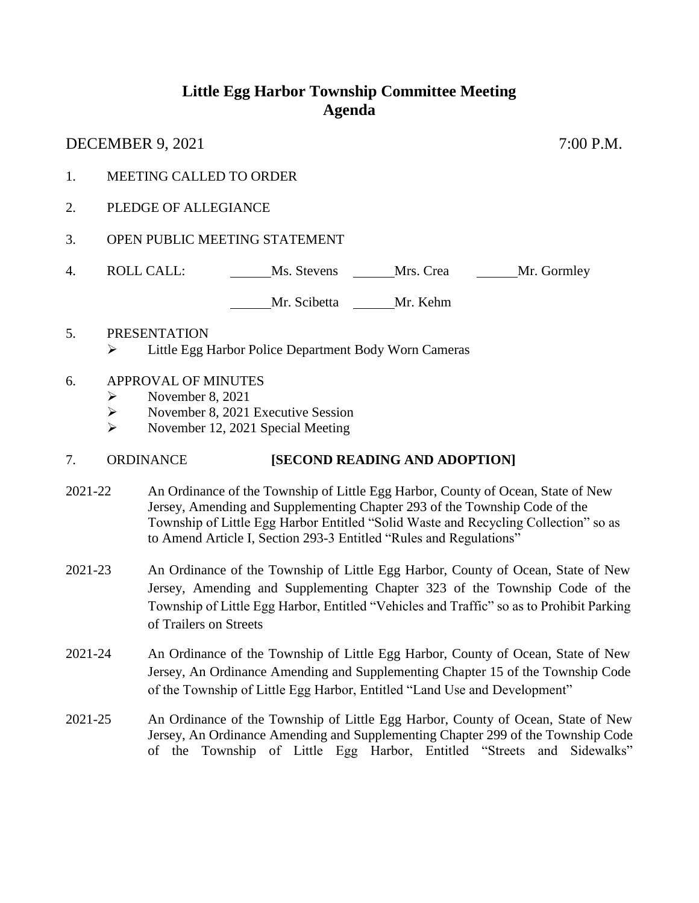## **Little Egg Harbor Township Committee Meeting Agenda**

DECEMBER 9, 2021 7:00 P.M.

- 1. MEETING CALLED TO ORDER
- 2. PLEDGE OF ALLEGIANCE
- 3. OPEN PUBLIC MEETING STATEMENT
- 4. ROLL CALL: Ms. Stevens Mrs. Crea Mrs. Gormley

Mr. Scibetta Mr. Kehm

- 5. PRESENTATION  $\triangleright$  Little Egg Harbor Police Department Body Worn Cameras
- 6. APPROVAL OF MINUTES
	- $\triangleright$  November 8, 2021
	- November 8, 2021 Executive Session
	- $\triangleright$  November 12, 2021 Special Meeting

## 7. ORDINANCE **[SECOND READING AND ADOPTION]**

- 2021-22 An Ordinance of the Township of Little Egg Harbor, County of Ocean, State of New Jersey, Amending and Supplementing Chapter 293 of the Township Code of the Township of Little Egg Harbor Entitled "Solid Waste and Recycling Collection" so as to Amend Article I, Section 293-3 Entitled "Rules and Regulations"
- 2021-23 An Ordinance of the Township of Little Egg Harbor, County of Ocean, State of New Jersey, Amending and Supplementing Chapter 323 of the Township Code of the Township of Little Egg Harbor, Entitled "Vehicles and Traffic" so as to Prohibit Parking of Trailers on Streets
- 2021-24 An Ordinance of the Township of Little Egg Harbor, County of Ocean, State of New Jersey, An Ordinance Amending and Supplementing Chapter 15 of the Township Code of the Township of Little Egg Harbor, Entitled "Land Use and Development"
- 2021-25 An Ordinance of the Township of Little Egg Harbor, County of Ocean, State of New Jersey, An Ordinance Amending and Supplementing Chapter 299 of the Township Code of the Township of Little Egg Harbor, Entitled "Streets and Sidewalks"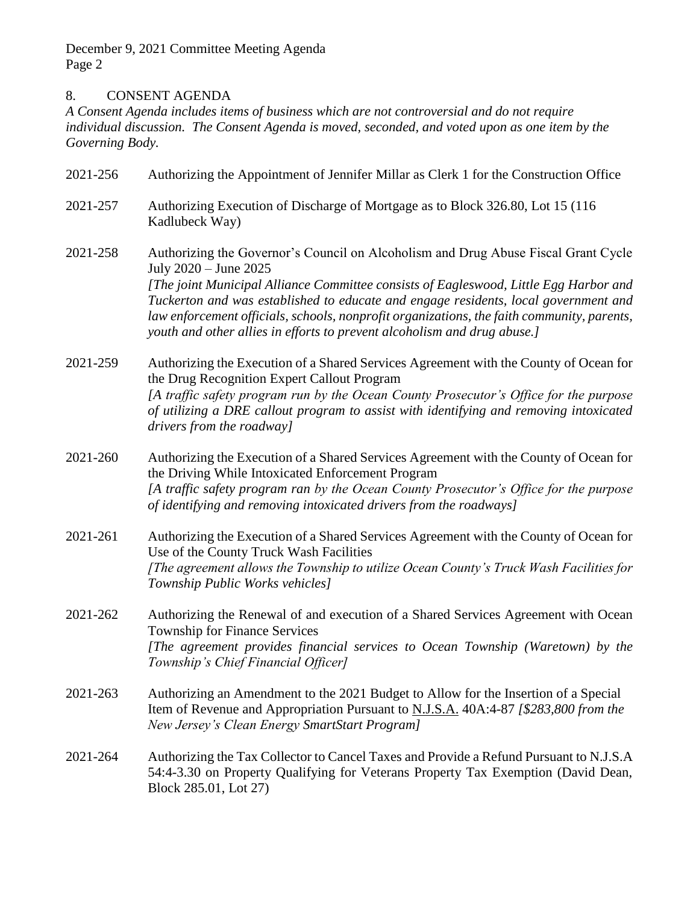December 9, 2021 Committee Meeting Agenda Page 2

## 8. CONSENT AGENDA

*A Consent Agenda includes items of business which are not controversial and do not require individual discussion. The Consent Agenda is moved, seconded, and voted upon as one item by the Governing Body.* 

| 2021-256 | Authorizing the Appointment of Jennifer Millar as Clerk 1 for the Construction Office                                                                                                                                                                                                                                                                  |
|----------|--------------------------------------------------------------------------------------------------------------------------------------------------------------------------------------------------------------------------------------------------------------------------------------------------------------------------------------------------------|
| 2021-257 | Authorizing Execution of Discharge of Mortgage as to Block 326.80, Lot 15 (116)<br>Kadlubeck Way)                                                                                                                                                                                                                                                      |
| 2021-258 | Authorizing the Governor's Council on Alcoholism and Drug Abuse Fiscal Grant Cycle<br>July 2020 - June 2025                                                                                                                                                                                                                                            |
|          | [The joint Municipal Alliance Committee consists of Eagleswood, Little Egg Harbor and<br>Tuckerton and was established to educate and engage residents, local government and<br>law enforcement officials, schools, nonprofit organizations, the faith community, parents,<br>youth and other allies in efforts to prevent alcoholism and drug abuse.] |
| 2021-259 | Authorizing the Execution of a Shared Services Agreement with the County of Ocean for<br>the Drug Recognition Expert Callout Program                                                                                                                                                                                                                   |
|          | [A traffic safety program run by the Ocean County Prosecutor's Office for the purpose<br>of utilizing a DRE callout program to assist with identifying and removing intoxicated<br>drivers from the roadway]                                                                                                                                           |
| 2021-260 | Authorizing the Execution of a Shared Services Agreement with the County of Ocean for<br>the Driving While Intoxicated Enforcement Program                                                                                                                                                                                                             |
|          | [A traffic safety program ran by the Ocean County Prosecutor's Office for the purpose<br>of identifying and removing intoxicated drivers from the roadways]                                                                                                                                                                                            |
| 2021-261 | Authorizing the Execution of a Shared Services Agreement with the County of Ocean for<br>Use of the County Truck Wash Facilities                                                                                                                                                                                                                       |
|          | [The agreement allows the Township to utilize Ocean County's Truck Wash Facilities for<br>Township Public Works vehicles]                                                                                                                                                                                                                              |
| 2021-262 | Authorizing the Renewal of and execution of a Shared Services Agreement with Ocean<br><b>Township for Finance Services</b>                                                                                                                                                                                                                             |
|          | [The agreement provides financial services to Ocean Township (Waretown) by the<br>Township's Chief Financial Officer]                                                                                                                                                                                                                                  |
| 2021-263 | Authorizing an Amendment to the 2021 Budget to Allow for the Insertion of a Special<br>Item of Revenue and Appropriation Pursuant to N.J.S.A. 40A:4-87 [\$283,800 from the<br>New Jersey's Clean Energy SmartStart Program]                                                                                                                            |
| 2021-264 | Authorizing the Tax Collector to Cancel Taxes and Provide a Refund Pursuant to N.J.S.A<br>54:4-3.30 on Property Qualifying for Veterans Property Tax Exemption (David Dean,<br>Block 285.01, Lot 27)                                                                                                                                                   |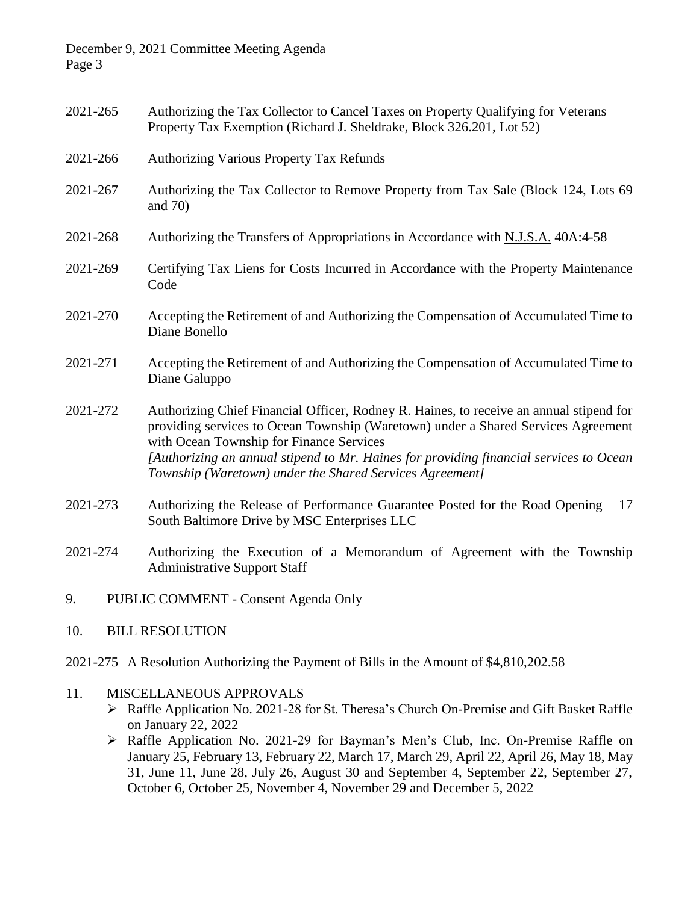December 9, 2021 Committee Meeting Agenda Page 3

- 2021-265 Authorizing the Tax Collector to Cancel Taxes on Property Qualifying for Veterans Property Tax Exemption (Richard J. Sheldrake, Block 326.201, Lot 52) 2021-266 Authorizing Various Property Tax Refunds
- 2021-267 Authorizing the Tax Collector to Remove Property from Tax Sale (Block 124, Lots 69 and 70)
- 2021-268 Authorizing the Transfers of Appropriations in Accordance with N.J.S.A. 40A:4-58
- 2021-269 Certifying Tax Liens for Costs Incurred in Accordance with the Property Maintenance Code
- 2021-270 Accepting the Retirement of and Authorizing the Compensation of Accumulated Time to Diane Bonello
- 2021-271 Accepting the Retirement of and Authorizing the Compensation of Accumulated Time to Diane Galuppo
- 2021-272 Authorizing Chief Financial Officer, Rodney R. Haines, to receive an annual stipend for providing services to Ocean Township (Waretown) under a Shared Services Agreement with Ocean Township for Finance Services *[Authorizing an annual stipend to Mr. Haines for providing financial services to Ocean Township (Waretown) under the Shared Services Agreement]*
- 2021-273 Authorizing the Release of Performance Guarantee Posted for the Road Opening 17 South Baltimore Drive by MSC Enterprises LLC
- 2021-274 Authorizing the Execution of a Memorandum of Agreement with the Township Administrative Support Staff
- 9. PUBLIC COMMENT Consent Agenda Only
- 10. BILL RESOLUTION
- 2021-275 A Resolution Authorizing the Payment of Bills in the Amount of \$4,810,202.58
- 11. MISCELLANEOUS APPROVALS
	- Raffle Application No. 2021-28 for St. Theresa's Church On-Premise and Gift Basket Raffle on January 22, 2022
	- Raffle Application No. 2021-29 for Bayman's Men's Club, Inc. On-Premise Raffle on January 25, February 13, February 22, March 17, March 29, April 22, April 26, May 18, May 31, June 11, June 28, July 26, August 30 and September 4, September 22, September 27, October 6, October 25, November 4, November 29 and December 5, 2022